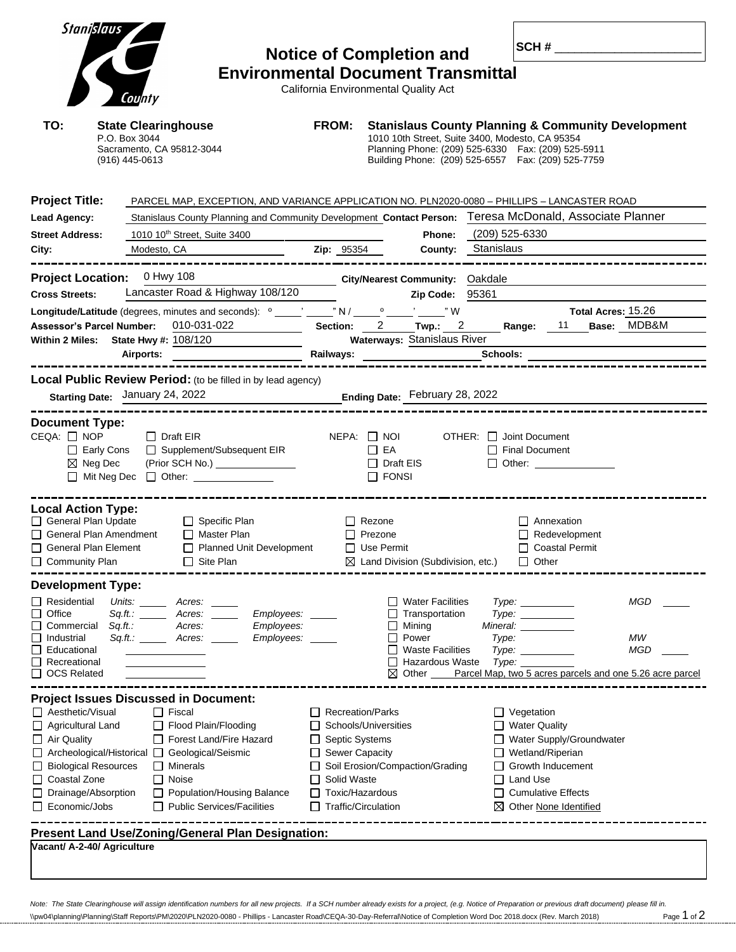| <b>Stanislaus</b>                                                                                                                                                  | County                                                                                                                                                                                                                                                                                                           |                                                                                                                                                                            | <b>Notice of Completion and</b><br><b>Environmental Document Transmittal</b><br>California Environmental Quality Act                                                                                                           |                                             |                                                                                                                                                                   |                            | SCH#                                                                                |
|--------------------------------------------------------------------------------------------------------------------------------------------------------------------|------------------------------------------------------------------------------------------------------------------------------------------------------------------------------------------------------------------------------------------------------------------------------------------------------------------|----------------------------------------------------------------------------------------------------------------------------------------------------------------------------|--------------------------------------------------------------------------------------------------------------------------------------------------------------------------------------------------------------------------------|---------------------------------------------|-------------------------------------------------------------------------------------------------------------------------------------------------------------------|----------------------------|-------------------------------------------------------------------------------------|
| TO:                                                                                                                                                                | <b>State Clearinghouse</b><br>P.O. Box 3044<br>Sacramento, CA 95812-3044<br>$(916)$ 445-0613                                                                                                                                                                                                                     | <b>FROM:</b>                                                                                                                                                               | <b>Stanislaus County Planning &amp; Community Development</b><br>1010 10th Street, Suite 3400, Modesto, CA 95354<br>Planning Phone: (209) 525-6330  Fax: (209) 525-5911<br>Building Phone: (209) 525-6557  Fax: (209) 525-7759 |                                             |                                                                                                                                                                   |                            |                                                                                     |
| <b>Project Title:</b><br>Lead Agency:<br><b>Street Address:</b><br>City: City:                                                                                     | PARCEL MAP, EXCEPTION, AND VARIANCE APPLICATION NO. PLN2020-0080 - PHILLIPS - LANCASTER ROAD<br>Stanislaus County Planning and Community Development Contact Person: Teresa McDonald, Associate Planner<br>1010 10 <sup>th</sup> Street, Suite 3400<br>Modesto, CA                                               | Zip: 95354                                                                                                                                                                 | Phone:                                                                                                                                                                                                                         | (209) 525-6330<br><b>County:</b> Stanislaus |                                                                                                                                                                   |                            |                                                                                     |
| <b>Cross Streets:</b>                                                                                                                                              | Project Location: 0 Hwy 108<br>Lancaster Road & Highway 108/120<br>010-031-022<br><b>Assessor's Parcel Number:</b><br>Within 2 Miles: State Hwy #: 108/120                                                                                                                                                       |                                                                                                                                                                            | City/Nearest Community: Oakdale<br>Zip Code: 95361<br>Section: 2 Twp.: 2 Range: 11 Base: MDB&M<br>Waterways: Stanislaus River                                                                                                  |                                             |                                                                                                                                                                   | Total Acres: 15.26         |                                                                                     |
| <b>Document Type:</b><br>$CEQA: \Box NOP$                                                                                                                          | <b>Local Public Review Period:</b> (to be filled in by lead agency)<br>Starting Date: January 24, 2022<br>Ending Date: February 28, 2022<br>$\Box$ Draft EIR<br>□ Early Cons □ Supplement/Subsequent EIR<br>$\boxtimes$ Neg Dec<br>(Prior SCH No.) ________________<br>□ Mit Neg Dec □ Other: <u>___________</u> |                                                                                                                                                                            | $NEPA:$ $\Box$ $NOI$<br>$\Box$ EA<br>$\Box$ Draft EIS<br>$\Box$ FONSI                                                                                                                                                          | $OTHER: \Box$ Joint Document                | Final Document<br>$\Box$ Other:                                                                                                                                   |                            |                                                                                     |
| <b>Local Action Type:</b><br>General Plan Update<br>General Plan Amendment<br>General Plan Element<br>□ Community Plan                                             | □ Specific Plan<br>□ Master Plan<br>□ Planned Unit Development □ Use Permit<br>$\Box$ Site Plan                                                                                                                                                                                                                  |                                                                                                                                                                            | $\Box$ Rezone<br>$\Box$ Prezone<br>$\boxtimes$ Land Division (Subdivision, etc.)                                                                                                                                               |                                             | $\Box$ Annexation<br>$\Box$ Redevelopment<br>□ Coastal Permit<br>$\Box$ Other                                                                                     |                            |                                                                                     |
| <b>Development Type:</b><br>$\Box$ Residential<br>□<br>Office<br>Commercial<br>⊔<br>□<br>Industrial<br>□<br>Educational<br>Recreational<br>$\Box$<br>□ OCS Related | Units:<br>Acres:<br>Employees:<br>Sq.ft.: ______<br>Acres:<br>Sq.ft.:<br>Employees:<br>Acres:<br>Employees: ___                                                                                                                                                                                                  |                                                                                                                                                                            | $\Box$ Water Facilities<br>$\Box$ Transportation<br>$\Box$ Mining<br>Power<br>$\Box$ Waste Facilities<br>$\Box$ Hazardous Waste<br>$\boxtimes$ Other                                                                           | Type:                                       | Type: __________<br>Type:<br>Mineral: <b>Mineral</b><br>Type:<br><i><b>Туре: ________</b>__</i>                                                                   | -------------------------- | MGD<br>МW<br><b>MGD</b><br>Parcel Map, two 5 acres parcels and one 5.26 acre parcel |
| □ Aesthetic/Visual<br>Agricultural Land<br>$\Box$ Air Quality<br>□ Biological Resources<br>□ Coastal Zone<br>$\Box$ Drainage/Absorption<br>$\Box$ Economic/Jobs    | <b>Project Issues Discussed in Document:</b><br>$\Box$ Fiscal<br>Flood Plain/Flooding<br>Forest Land/Fire Hazard<br>□ Archeological/Historical □ Geological/Seismic<br>$\Box$ Minerals<br>$\Box$ Noise<br>□ Population/Housing Balance<br>$\Box$ Public Services/Facilities                                      | $\Box$ Recreation/Parks<br>Schools/Universities<br>$\Box$ Septic Systems<br>□ Sewer Capacity<br>$\Box$ Solid Waste<br>$\Box$ Toxic/Hazardous<br>$\Box$ Traffic/Circulation | □ Soil Erosion/Compaction/Grading                                                                                                                                                                                              |                                             | $\Box$ Vegetation<br>$\Box$ Water Quality<br>□ Wetland/Riperian<br>$\Box$ Growth Inducement<br>□ Land Use<br>$\Box$ Cumulative Effects<br>⊠ Other None Identified | □ Water Supply/Groundwater |                                                                                     |
| Vacant/ A-2-40/ Agriculture                                                                                                                                        | Present Land Use/Zoning/General Plan Designation:                                                                                                                                                                                                                                                                |                                                                                                                                                                            |                                                                                                                                                                                                                                |                                             |                                                                                                                                                                   |                            |                                                                                     |

*Note: The State Clearinghouse will assign identification numbers for all new projects. If a SCH number already exists for a project, (e.g. Notice of Preparation or previous draft document) please fill in.*  $\%$ WO4\planning\Planning\Staff Reports\PM\2020\PLN2020-0080 - Phillips - Lancaster Road\CEQA-30-Day-Referral\Notice of Completion Word Doc 2018.docx (Rev. March 2018) Page 1 of 2